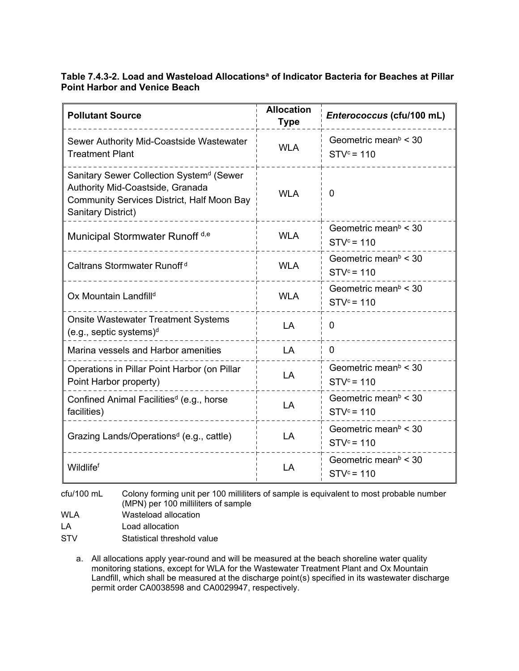## **Table 7.4.3-2. Load and Wasteload Allocations<sup>a</sup> of Indicator Bacteria for Beaches at Pillar Point Harbor and Venice Beach**

| <b>Pollutant Source</b>                                                                                                                                                    | <b>Allocation</b><br><b>Type</b> | Enterococcus (cfu/100 mL)                                        |
|----------------------------------------------------------------------------------------------------------------------------------------------------------------------------|----------------------------------|------------------------------------------------------------------|
| Sewer Authority Mid-Coastside Wastewater<br><b>Treatment Plant</b>                                                                                                         | <b>WLA</b>                       | Geometric mean $\beta$ < 30<br>$STVc = 110$                      |
| Sanitary Sewer Collection System <sup>d</sup> (Sewer<br>Authority Mid-Coastside, Granada<br><b>Community Services District, Half Moon Bay</b><br><b>Sanitary District)</b> | <b>WLA</b>                       | 0                                                                |
| Municipal Stormwater Runoff d,e                                                                                                                                            | <b>WLA</b>                       | Geometric mean $\beta$ < 30<br>$STVc = 110$                      |
| Caltrans Stormwater Runoff <sup>d</sup>                                                                                                                                    | <b>WLA</b>                       | Geometric mean $\frac{b}{c}$ < 30<br>$STVc = 110$                |
| Ox Mountain Landfill <sup>d</sup>                                                                                                                                          | <b>WLA</b>                       | Geometric mean $\frac{b}{c}$ < 30<br>$STVc = 110$                |
| <b>Onsite Wastewater Treatment Systems</b><br>(e.g., septic systems) <sup>d</sup>                                                                                          | LA                               | 0                                                                |
| Marina vessels and Harbor amenities                                                                                                                                        | LA                               | $\Omega$                                                         |
| Operations in Pillar Point Harbor (on Pillar<br>Point Harbor property)                                                                                                     | LA                               | Geometric mean <sup><math>b &lt; 30</math></sup><br>$STVc = 110$ |
| Confined Animal Facilities <sup>d</sup> (e.g., horse<br>facilities)                                                                                                        | LA                               | Geometric mean $\frac{b}{2}$ < 30<br>$STVc = 110$                |
| Grazing Lands/Operations <sup>d</sup> (e.g., cattle)                                                                                                                       | LA                               | Geometric mean $\frac{b}{c}$ < 30<br>$STVc = 110$                |
| Wildlifef                                                                                                                                                                  | LA                               | Geometric mean $\frac{b}{c}$ < 30<br>$STVc = 110$                |

cfu/100 mL Colony forming unit per 100 milliliters of sample is equivalent to most probable number (MPN) per 100 milliliters of sample

WLA Wasteload allocation

LA Load allocation

STV Statistical threshold value

a. All allocations apply year-round and will be measured at the beach shoreline water quality monitoring stations, except for WLA for the Wastewater Treatment Plant and Ox Mountain Landfill, which shall be measured at the discharge point(s) specified in its wastewater discharge permit order CA0038598 and CA0029947, respectively.